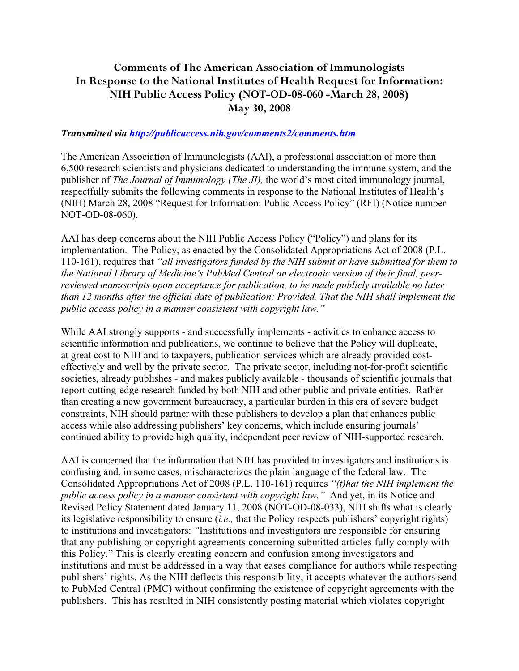## **Comments of The American Association of Immunologists In Response to the National Institutes of Health Request for Information: NIH Public Access Policy (NOT-OD-08-060 -March 28, 2008) May 30, 2008**

## *Transmitted via http://publicaccess.nih.gov/comments2/comments.htm*

The American Association of Immunologists (AAI), a professional association of more than 6,500 research scientists and physicians dedicated to understanding the immune system, and the publisher of *The Journal of Immunology (The JI),* the world's most cited immunology journal, respectfully submits the following comments in response to the National Institutes of Health's (NIH) March 28, 2008 "Request for Information: Public Access Policy" (RFI) (Notice number NOT-OD-08-060).

AAI has deep concerns about the NIH Public Access Policy ("Policy") and plans for its implementation. The Policy, as enacted by the Consolidated Appropriations Act of 2008 (P.L. 110-161), requires that *"all investigators funded by the NIH submit or have submitted for them to the National Library of Medicine's PubMed Central an electronic version of their final, peerreviewed manuscripts upon acceptance for publication, to be made publicly available no later than 12 months after the official date of publication: Provided, That the NIH shall implement the public access policy in a manner consistent with copyright law."* 

While AAI strongly supports - and successfully implements - activities to enhance access to scientific information and publications, we continue to believe that the Policy will duplicate, at great cost to NIH and to taxpayers, publication services which are already provided costeffectively and well by the private sector. The private sector, including not-for-profit scientific societies, already publishes - and makes publicly available - thousands of scientific journals that report cutting-edge research funded by both NIH and other public and private entities. Rather than creating a new government bureaucracy, a particular burden in this era of severe budget constraints, NIH should partner with these publishers to develop a plan that enhances public access while also addressing publishers' key concerns, which include ensuring journals' continued ability to provide high quality, independent peer review of NIH-supported research.

AAI is concerned that the information that NIH has provided to investigators and institutions is confusing and, in some cases, mischaracterizes the plain language of the federal law. The Consolidated Appropriations Act of 2008 (P.L. 110-161) requires *"(t)hat the NIH implement the public access policy in a manner consistent with copyright law."* And yet, in its Notice and Revised Policy Statement dated January 11, 2008 (NOT-OD-08-033), NIH shifts what is clearly its legislative responsibility to ensure (*i.e.,* that the Policy respects publishers' copyright rights) to institutions and investigators: *"*Institutions and investigators are responsible for ensuring that any publishing or copyright agreements concerning submitted articles fully comply with this Policy." This is clearly creating concern and confusion among investigators and institutions and must be addressed in a way that eases compliance for authors while respecting publishers' rights. As the NIH deflects this responsibility, it accepts whatever the authors send to PubMed Central (PMC) without confirming the existence of copyright agreements with the publishers. This has resulted in NIH consistently posting material which violates copyright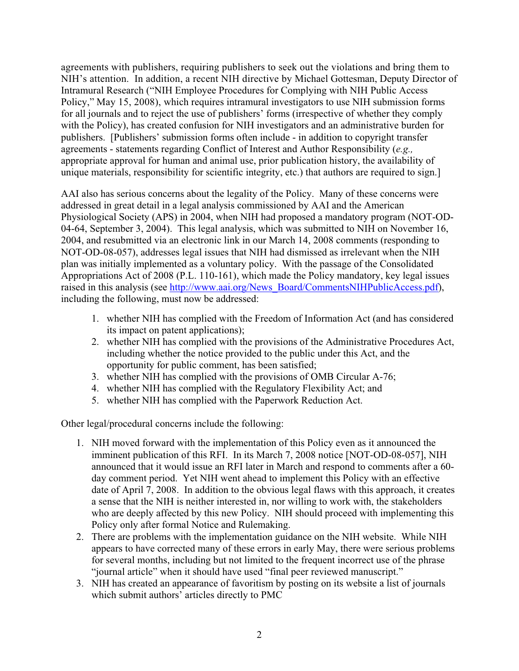agreements with publishers, requiring publishers to seek out the violations and bring them to NIH's attention. In addition, a recent NIH directive by Michael Gottesman, Deputy Director of Intramural Research ("NIH Employee Procedures for Complying with NIH Public Access Policy," May 15, 2008), which requires intramural investigators to use NIH submission forms for all journals and to reject the use of publishers' forms (irrespective of whether they comply with the Policy), has created confusion for NIH investigators and an administrative burden for publishers. [Publishers' submission forms often include - in addition to copyright transfer agreements - statements regarding Conflict of Interest and Author Responsibility (*e.g.,* appropriate approval for human and animal use, prior publication history, the availability of unique materials, responsibility for scientific integrity, etc.) that authors are required to sign.]

AAI also has serious concerns about the legality of the Policy. Many of these concerns were addressed in great detail in a legal analysis commissioned by AAI and the American Physiological Society (APS) in 2004, when NIH had proposed a mandatory program (NOT-OD-04-64, September 3, 2004). This legal analysis, which was submitted to NIH on November 16, 2004, and resubmitted via an electronic link in our March 14, 2008 comments (responding to NOT-OD-08-057), addresses legal issues that NIH had dismissed as irrelevant when the NIH plan was initially implemented as a voluntary policy. With the passage of the Consolidated Appropriations Act of 2008 (P.L. 110-161), which made the Policy mandatory, key legal issues raised in this analysis (see http://www.aai.org/News\_Board/CommentsNIHPublicAccess.pdf), including the following, must now be addressed:

- 1. whether NIH has complied with the Freedom of Information Act (and has considered its impact on patent applications);
- 2. whether NIH has complied with the provisions of the Administrative Procedures Act, including whether the notice provided to the public under this Act, and the opportunity for public comment, has been satisfied;
- 3. whether NIH has complied with the provisions of OMB Circular A-76;
- 4. whether NIH has complied with the Regulatory Flexibility Act; and
- 5. whether NIH has complied with the Paperwork Reduction Act.

Other legal/procedural concerns include the following:

- 1. NIH moved forward with the implementation of this Policy even as it announced the imminent publication of this RFI. In its March 7, 2008 notice [NOT-OD-08-057], NIH announced that it would issue an RFI later in March and respond to comments after a 60 day comment period. Yet NIH went ahead to implement this Policy with an effective date of April 7, 2008. In addition to the obvious legal flaws with this approach, it creates a sense that the NIH is neither interested in, nor willing to work with, the stakeholders who are deeply affected by this new Policy. NIH should proceed with implementing this Policy only after formal Notice and Rulemaking.
- 2. There are problems with the implementation guidance on the NIH website. While NIH appears to have corrected many of these errors in early May, there were serious problems for several months, including but not limited to the frequent incorrect use of the phrase "journal article" when it should have used "final peer reviewed manuscript."
- 3. NIH has created an appearance of favoritism by posting on its website a list of journals which submit authors' articles directly to PMC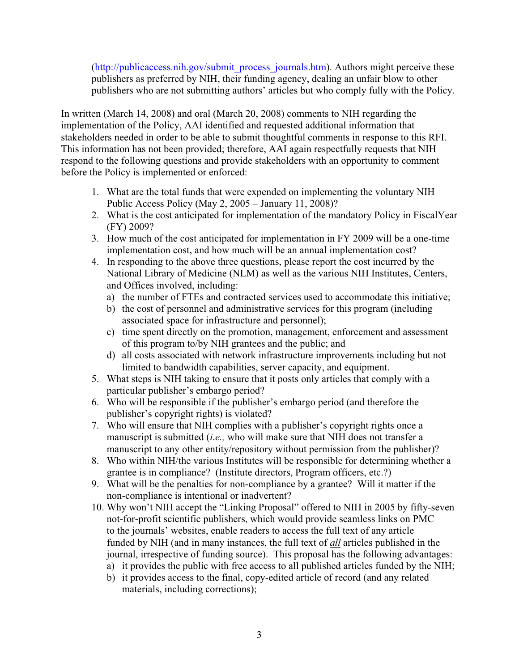(http://publicaccess.nih.gov/submit\_process\_journals.htm). Authors might perceive these publishers as preferred by NIH, their funding agency, dealing an unfair blow to other publishers who are not submitting authors' articles but who comply fully with the Policy.

In written (March 14, 2008) and oral (March 20, 2008) comments to NIH regarding the implementation of the Policy, AAI identified and requested additional information that stakeholders needed in order to be able to submit thoughtful comments in response to this RFI. This information has not been provided; therefore, AAI again respectfully requests that NIH respond to the following questions and provide stakeholders with an opportunity to comment before the Policy is implemented or enforced:

- 1. What are the total funds that were expended on implementing the voluntary NIH Public Access Policy (May 2, 2005 – January 11, 2008)?
- 2. What is the cost anticipated for implementation of the mandatory Policy in FiscalYear (FY) 2009?
- 3. How much of the cost anticipated for implementation in FY 2009 will be a one-time implementation cost, and how much will be an annual implementation cost?
- 4. In responding to the above three questions, please report the cost incurred by the National Library of Medicine (NLM) as well as the various NIH Institutes, Centers, and Offices involved, including:
	- a) the number of FTEs and contracted services used to accommodate this initiative;
	- b) the cost of personnel and administrative services for this program (including associated space for infrastructure and personnel);
	- c) time spent directly on the promotion, management, enforcement and assessment of this program to/by NIH grantees and the public; and
	- d) all costs associated with network infrastructure improvements including but not limited to bandwidth capabilities, server capacity, and equipment.
- 5. What steps is NIH taking to ensure that it posts only articles that comply with a particular publisher's embargo period?
- 6. Who will be responsible if the publisher's embargo period (and therefore the publisher's copyright rights) is violated?
- 7. Who will ensure that NIH complies with a publisher's copyright rights once a manuscript is submitted (*i.e.,* who will make sure that NIH does not transfer a manuscript to any other entity/repository without permission from the publisher)?
- 8. Who within NIH/the various Institutes will be responsible for determining whether a grantee is in compliance? (Institute directors, Program officers, etc.?)
- 9. What will be the penalties for non-compliance by a grantee? Will it matter if the non-compliance is intentional or inadvertent?
- 10. Why won't NIH accept the "Linking Proposal" offered to NIH in 2005 by fifty-seven not-for-profit scientific publishers, which would provide seamless links on PMC to the journals' websites, enable readers to access the full text of any article funded by NIH (and in many instances, the full text of *all* articles published in the journal, irrespective of funding source). This proposal has the following advantages:
	- a) it provides the public with free access to all published articles funded by the NIH;
	- b) it provides access to the final, copy-edited article of record (and any related materials, including corrections);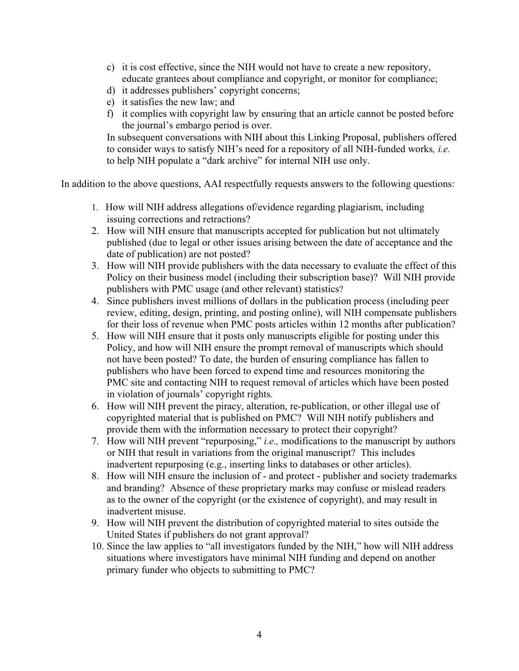- c) it is cost effective, since the NIH would not have to create a new repository, educate grantees about compliance and copyright, or monitor for compliance;
- d) it addresses publishers' copyright concerns;
- e) it satisfies the new law; and
- f) it complies with copyright law by ensuring that an article cannot be posted before the journal's embargo period is over.

In subsequent conversations with NIH about this Linking Proposal, publishers offered to consider ways to satisfy NIH's need for a repository of all NIH-funded works*, i.e.*  to help NIH populate a "dark archive" for internal NIH use only.

In addition to the above questions, AAI respectfully requests answers to the following questions:

- 1. How will NIH address allegations of/evidence regarding plagiarism, including issuing corrections and retractions?
- 2. How will NIH ensure that manuscripts accepted for publication but not ultimately published (due to legal or other issues arising between the date of acceptance and the date of publication) are not posted?
- 3. How will NIH provide publishers with the data necessary to evaluate the effect of this Policy on their business model (including their subscription base)? Will NIH provide publishers with PMC usage (and other relevant) statistics?
- 4. Since publishers invest millions of dollars in the publication process (including peer review, editing, design, printing, and posting online), will NIH compensate publishers for their loss of revenue when PMC posts articles within 12 months after publication?
- 5. How will NIH ensure that it posts only manuscripts eligible for posting under this Policy, and how will NIH ensure the prompt removal of manuscripts which should not have been posted? To date, the burden of ensuring compliance has fallen to publishers who have been forced to expend time and resources monitoring the PMC site and contacting NIH to request removal of articles which have been posted in violation of journals' copyright rights.
- 6. How will NIH prevent the piracy, alteration, re-publication, or other illegal use of copyrighted material that is published on PMC? Will NIH notify publishers and provide them with the information necessary to protect their copyright?
- 7. How will NIH prevent "repurposing," *i.e.,* modifications to the manuscript by authors or NIH that result in variations from the original manuscript? This includes inadvertent repurposing (e.g., inserting links to databases or other articles).
- 8. How will NIH ensure the inclusion of and protect publisher and society trademarks and branding? Absence of these proprietary marks may confuse or mislead readers as to the owner of the copyright (or the existence of copyright), and may result in inadvertent misuse.
- 9. How will NIH prevent the distribution of copyrighted material to sites outside the United States if publishers do not grant approval?
- 10. Since the law applies to "all investigators funded by the NIH," how will NIH address situations where investigators have minimal NIH funding and depend on another primary funder who objects to submitting to PMC?